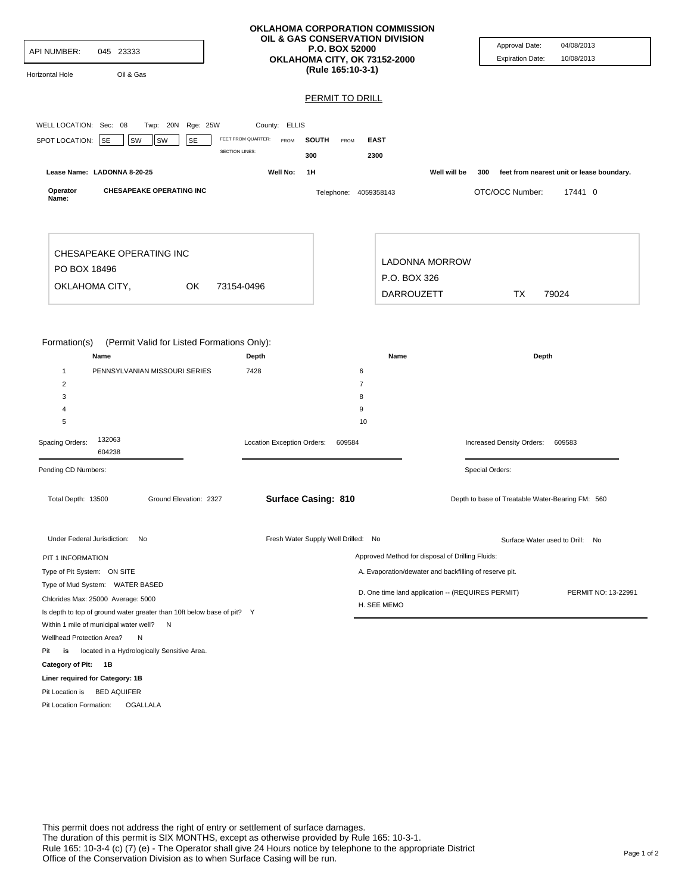| <b>API NUMBER:</b><br>045 23333<br>Oil & Gas<br>Horizontal Hole                                                                                                                   | <b>OKLAHOMA CORPORATION COMMISSION</b><br>OIL & GAS CONSERVATION DIVISION<br><b>P.O. BOX 52000</b><br>OKLAHOMA CITY, OK 73152-2000<br>(Rule 165:10-3-1) |                                                                          |                                                            | Approval Date:<br><b>Expiration Date:</b>        | 04/08/2013<br>10/08/2013                  |
|-----------------------------------------------------------------------------------------------------------------------------------------------------------------------------------|---------------------------------------------------------------------------------------------------------------------------------------------------------|--------------------------------------------------------------------------|------------------------------------------------------------|--------------------------------------------------|-------------------------------------------|
|                                                                                                                                                                                   |                                                                                                                                                         | <b>PERMIT TO DRILL</b>                                                   |                                                            |                                                  |                                           |
|                                                                                                                                                                                   |                                                                                                                                                         |                                                                          |                                                            |                                                  |                                           |
| Twp: 20N Rge: 25W<br>WELL LOCATION: Sec: 08                                                                                                                                       | County: ELLIS                                                                                                                                           |                                                                          |                                                            |                                                  |                                           |
| SPOT LOCATION: SE<br>SW<br>SE<br>SW                                                                                                                                               | FEET FROM QUARTER:<br><b>FROM</b>                                                                                                                       | <b>SOUTH</b><br>FROM<br><b>EAST</b>                                      |                                                            |                                                  |                                           |
|                                                                                                                                                                                   | <b>SECTION LINES:</b><br>300                                                                                                                            | 2300                                                                     |                                                            |                                                  |                                           |
| Lease Name: LADONNA 8-20-25                                                                                                                                                       | Well No:<br>1H                                                                                                                                          |                                                                          | Well will be                                               | 300                                              | feet from nearest unit or lease boundary. |
| Operator<br><b>CHESAPEAKE OPERATING INC</b><br>Name:                                                                                                                              |                                                                                                                                                         | Telephone: 4059358143                                                    |                                                            | OTC/OCC Number:                                  | 17441 0                                   |
| CHESAPEAKE OPERATING INC<br>PO BOX 18496<br>OKLAHOMA CITY,<br>OK                                                                                                                  | 73154-0496                                                                                                                                              |                                                                          | <b>LADONNA MORROW</b><br>P.O. BOX 326<br><b>DARROUZETT</b> | <b>TX</b>                                        | 79024                                     |
| Formation(s)<br>(Permit Valid for Listed Formations Only):<br>Name<br>$\mathbf{1}$<br>PENNSYLVANIAN MISSOURI SERIES<br>$\overline{c}$<br>3<br>4<br>5<br>132063<br>Spacing Orders: | Depth<br>7428<br>Location Exception Orders:                                                                                                             | 6<br>$\overline{7}$<br>8<br>9<br>10<br>609584                            | Name                                                       | Increased Density Orders:                        | Depth<br>609583                           |
| 604238                                                                                                                                                                            |                                                                                                                                                         |                                                                          |                                                            |                                                  |                                           |
| Pending CD Numbers:                                                                                                                                                               |                                                                                                                                                         |                                                                          |                                                            | Special Orders:                                  |                                           |
| Total Depth: 13500<br>Ground Elevation: 2327                                                                                                                                      | <b>Surface Casing: 810</b>                                                                                                                              |                                                                          |                                                            | Depth to base of Treatable Water-Bearing FM: 560 |                                           |
| Under Federal Jurisdiction: No                                                                                                                                                    |                                                                                                                                                         | Fresh Water Supply Well Drilled: No                                      |                                                            |                                                  | Surface Water used to Drill: No           |
| PIT 1 INFORMATION                                                                                                                                                                 |                                                                                                                                                         |                                                                          | Approved Method for disposal of Drilling Fluids:           |                                                  |                                           |
| Type of Pit System: ON SITE                                                                                                                                                       |                                                                                                                                                         |                                                                          | A. Evaporation/dewater and backfilling of reserve pit.     |                                                  |                                           |
| Type of Mud System: WATER BASED                                                                                                                                                   |                                                                                                                                                         |                                                                          |                                                            |                                                  |                                           |
| Chlorides Max: 25000 Average: 5000                                                                                                                                                |                                                                                                                                                         | D. One time land application -- (REQUIRES PERMIT)<br>PERMIT NO: 13-22991 |                                                            |                                                  |                                           |
| Is depth to top of ground water greater than 10ft below base of pit? Y                                                                                                            |                                                                                                                                                         | H. SEE MEMO                                                              |                                                            |                                                  |                                           |
| Within 1 mile of municipal water well?<br>N                                                                                                                                       |                                                                                                                                                         |                                                                          |                                                            |                                                  |                                           |
| Wellhead Protection Area?<br>N                                                                                                                                                    |                                                                                                                                                         |                                                                          |                                                            |                                                  |                                           |
| located in a Hydrologically Sensitive Area.<br>Pit<br>is                                                                                                                          |                                                                                                                                                         |                                                                          |                                                            |                                                  |                                           |
| Category of Pit: 1B                                                                                                                                                               |                                                                                                                                                         |                                                                          |                                                            |                                                  |                                           |
| Liner required for Category: 1B                                                                                                                                                   |                                                                                                                                                         |                                                                          |                                                            |                                                  |                                           |
| Pit Location is BED AQUIFER                                                                                                                                                       |                                                                                                                                                         |                                                                          |                                                            |                                                  |                                           |
| Pit Location Formation:<br><b>OGALLALA</b>                                                                                                                                        |                                                                                                                                                         |                                                                          |                                                            |                                                  |                                           |
|                                                                                                                                                                                   |                                                                                                                                                         |                                                                          |                                                            |                                                  |                                           |